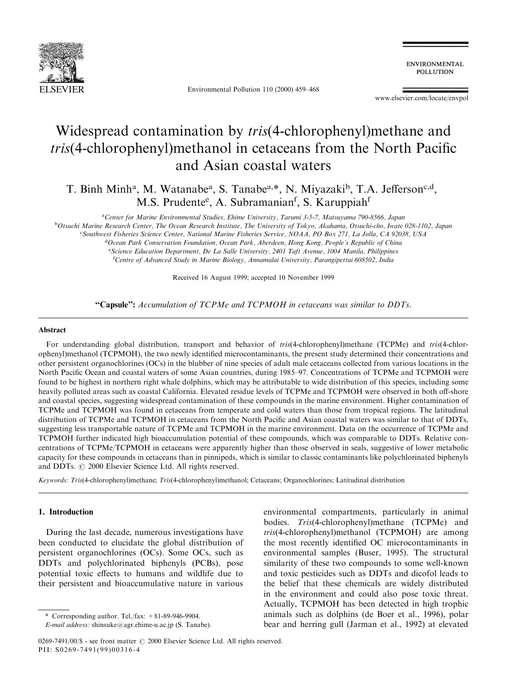

Environmental Pollution 110 (2000) 459-468

**ENVIRONMENTAL** POLLUTION

www.elsevier.com/locate/envpol

# Widespread contamination by tris(4-chlorophenyl)methane and tris(4-chlorophenyl)methanol in cetaceans from the North Pacific and Asian coastal waters

T. Binh Minh<sup>a</sup>, M. Watanabe<sup>a</sup>, S. Tanabe<sup>a,\*</sup>, N. Miyazaki<sup>b</sup>, T.A. Jefferson<sup>c,d</sup>, M.S. Prudente<sup>e</sup>, A. Subramanian<sup>f</sup>, S. Karuppiah<sup>f</sup>

a Center for Marine Environmental Studies, Ehime University, Tarumi 3-5-7, Matsuyama 790-8566, Japan <sup>b</sup>Otsuchi Marine Research Center, The Ocean Research Institute, The University of Tokyo, Akahama, Otsuchi-cho, Iwate 028-1102, Japan c Southwest Fisheries Science Center, National Marine Fisheries Service, NOAA, PO Box 271, La Jolla, CA 92038, USA <sup>d</sup>Ocean Park Conservation Foundation, Ocean Park, Aberdeen, Hong Kong, People's Republic of China e Science Education Department, De La Salle University, 2401 Taft Avenue, 1004 Manila, Philippines

<sup>f</sup>Centre of Advanced Study in Marine Biology, Annamalai University, Parangipettai 608502, India

Received 16 August 1999; accepted 10 November 1999

"Capsule": Accumulation of TCPMe and TCPMOH in cetaceans was similar to DDTs.

#### Abstract

For understanding global distribution, transport and behavior of tris(4-chlorophenyl)methane (TCPMe) and tris(4-chlorophenyl)methanol (TCPMOH), the two newly identified microcontaminants, the present study determined their concentrations and other persistent organochlorines (OCs) in the blubber of nine species of adult male cetaceans collected from various locations in the North Pacific Ocean and coastal waters of some Asian countries, during 1985-97. Concentrations of TCPMe and TCPMOH were found to be highest in northern right whale dolphins, which may be attributable to wide distribution of this species, including some heavily polluted areas such as coastal California. Elevated residue levels of TCPMe and TCPMOH were observed in both off-shore and coastal species, suggesting widespread contamination of these compounds in the marine environment. Higher contamination of TCPMe and TCPMOH was found in cetaceans from temperate and cold waters than those from tropical regions. The latitudinal distribution of TCPMe and TCPMOH in cetaceans from the North Pacific and Asian coastal waters was similar to that of DDTs, suggesting less transportable nature of TCPMe and TCPMOH in the marine environment. Data on the occurrence of TCPMe and TCPMOH further indicated high bioaccumulation potential of these compounds, which was comparable to DDTs. Relative concentrations of TCPMe/TCPMOH in cetaceans were apparently higher than those observed in seals, suggestive of lower metabolic capacity for these compounds in cetaceans than in pinnipeds, which is similar to classic contaminants like polychlorinated biphenyls and DDTs.  $\odot$  2000 Elsevier Science Ltd. All rights reserved.

Keywords: Tris(4-chlorophenyl)methane; Tris(4-chlorophenyl)methanol; Cetaceans; Organochlorines; Latitudinal distribution

# 1. Introduction

During the last decade, numerous investigations have been conducted to elucidate the global distribution of persistent organochlorines (OCs). Some OCs, such as DDTs and polychlorinated biphenyls (PCBs), pose potential toxic effects to humans and wildlife due to their persistent and bioaccumulative nature in various

\* Corresponding author. Tel./fax:  $+81-89-946-9904$ .

environmental compartments, particularly in animal bodies. Tris(4-chlorophenyl)methane (TCPMe) and tris(4-chlorophenyl)methanol (TCPMOH) are among the most recently identified OC microcontaminants in environmental samples (Buser, 1995). The structural similarity of these two compounds to some well-known and toxic pesticides such as DDTs and dicofol leads to the belief that these chemicals are widely distributed in the environment and could also pose toxic threat. Actually, TCPMOH has been detected in high trophic animals such as dolphins (de Boer et al., 1996), polar bear and herring gull (Jarman et al., 1992) at elevated

E-mail address: shinsuke@agr.ehime-u.ac.jp (S. Tanabe).

<sup>0269-7491/00/\$ -</sup> see front matter  $\odot$  2000 Elsevier Science Ltd. All rights reserved. PII: S0269-7491(99)00316-4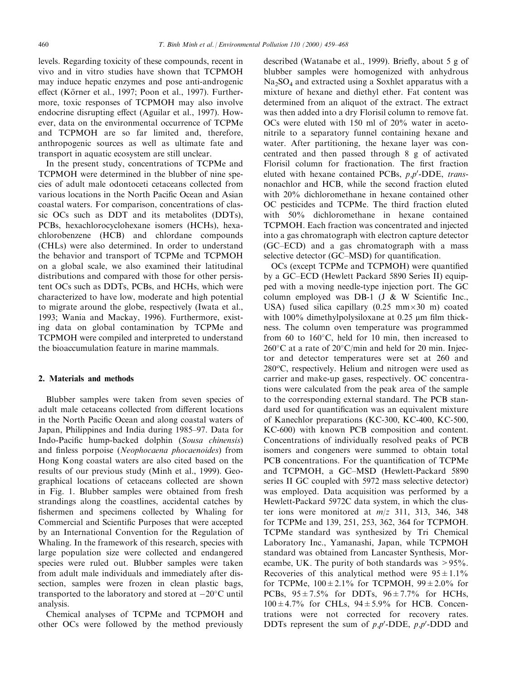levels. Regarding toxicity of these compounds, recent in vivo and in vitro studies have shown that TCPMOH may induce hepatic enzymes and pose anti-androgenic effect (Körner et al., 1997; Poon et al., 1997). Furthermore, toxic responses of TCPMOH may also involve endocrine disrupting effect (Aguilar et al., 1997). However, data on the environmental occurrence of TCPMe and TCPMOH are so far limited and, therefore, anthropogenic sources as well as ultimate fate and transport in aquatic ecosystem are still unclear.

In the present study, concentrations of TCPMe and TCPMOH were determined in the blubber of nine species of adult male odontoceti cetaceans collected from various locations in the North Pacific Ocean and Asian coastal waters. For comparison, concentrations of classic OCs such as DDT and its metabolites (DDTs), PCBs, hexachlorocyclohexane isomers (HCHs), hexachlorobenzene (HCB) and chlordane compounds (CHLs) were also determined. In order to understand the behavior and transport of TCPMe and TCPMOH on a global scale, we also examined their latitudinal distributions and compared with those for other persistent OCs such as DDTs, PCBs, and HCHs, which were characterized to have low, moderate and high potential to migrate around the globe, respectively (Iwata et al., 1993; Wania and Mackay, 1996). Furthermore, existing data on global contamination by TCPMe and TCPMOH were compiled and interpreted to understand the bioaccumulation feature in marine mammals.

# 2. Materials and methods

Blubber samples were taken from seven species of adult male cetaceans collected from different locations in the North Pacific Ocean and along coastal waters of Japan, Philippines and India during 1985–97. Data for Indo-Pacific hump-backed dolphin (Sousa chinensis) and finless porpoise (Neophocaena phocaenoides) from Hong Kong coastal waters are also cited based on the results of our previous study (Minh et al., 1999). Geographical locations of cetaceans collected are shown in Fig. 1. Blubber samples were obtained from fresh strandings along the coastlines, accidental catches by fishermen and specimens collected by Whaling for Commercial and Scientific Purposes that were accepted by an International Convention for the Regulation of Whaling. In the framework of this research, species with large population size were collected and endangered species were ruled out. Blubber samples were taken from adult male individuals and immediately after dissection, samples were frozen in clean plastic bags, transported to the laboratory and stored at  $-20^{\circ}$ C until analysis.

Chemical analyses of TCPMe and TCPMOH and other OCs were followed by the method previously

described (Watanabe et al., 1999). Briefly, about 5 g of blubber samples were homogenized with anhydrous  $Na<sub>2</sub>SO<sub>4</sub>$  and extracted using a Soxhlet apparatus with a mixture of hexane and diethyl ether. Fat content was determined from an aliquot of the extract. The extract was then added into a dry Florisil column to remove fat. OCs were eluted with 150 ml of 20% water in acetonitrile to a separatory funnel containing hexane and water. After partitioning, the hexane layer was concentrated and then passed through 8 g of activated Florisil column for fractionation. The first fraction eluted with hexane contained PCBs,  $p, p'$ -DDE, transnonachlor and HCB, while the second fraction eluted with 20% dichloromethane in hexane contained other OC pesticides and TCPMe. The third fraction eluted with 50% dichloromethane in hexane contained TCPMOH. Each fraction was concentrated and injected into a gas chromatograph with electron capture detector (GC-ECD) and a gas chromatograph with a mass selective detector (GC–MSD) for quantification.

OCs (except TCPMe and TCPMOH) were quantified by a GC–ECD (Hewlett Packard 5890 Series II) equipped with a moving needle-type injection port. The GC column employed was DB-1 (J  $&$  W Scientific Inc., USA) fused silica capillary  $(0.25 \text{ mm} \times 30 \text{ m})$  coated with  $100\%$  dimethylpolysiloxane at 0.25  $\mu$ m film thickness. The column oven temperature was programmed from 60 to  $160^{\circ}$ C, held for 10 min, then increased to  $260^{\circ}$ C at a rate of  $20^{\circ}$ C/min and held for 20 min. Injector and detector temperatures were set at 260 and  $280^{\circ}$ C, respectively. Helium and nitrogen were used as carrier and make-up gases, respectively. OC concentrations were calculated from the peak area of the sample to the corresponding external standard. The PCB standard used for quantification was an equivalent mixture of Kanechlor preparations (KC-300, KC-400, KC-500, KC-600) with known PCB composition and content. Concentrations of individually resolved peaks of PCB isomers and congeners were summed to obtain total PCB concentrations. For the quantification of TCPMe and TCPMOH, a GC-MSD (Hewlett-Packard 5890) series II GC coupled with 5972 mass selective detector) was employed. Data acquisition was performed by a Hewlett-Packard 5972C data system, in which the cluster ions were monitored at  $m/z$  311, 313, 346, 348 for TCPMe and 139, 251, 253, 362, 364 for TCPMOH. TCPMe standard was synthesized by Tri Chemical Laboratory Inc., Yamanashi, Japan, while TCPMOH standard was obtained from Lancaster Synthesis, Morecambe, UK. The purity of both standards was  $> 95\%$ . Recoveries of this analytical method were  $95 \pm 1.1\%$ for TCPMe,  $100 \pm 2.1\%$  for TCPMOH,  $99 \pm 2.0\%$  for PCBs,  $95 \pm 7.5\%$  for DDTs,  $96 \pm 7.7\%$  for HCHs,  $100 \pm 4.7\%$  for CHLs,  $94 \pm 5.9\%$  for HCB. Concentrations were not corrected for recovery rates. DDTs represent the sum of  $p, p'$ -DDE,  $p, p'$ -DDD and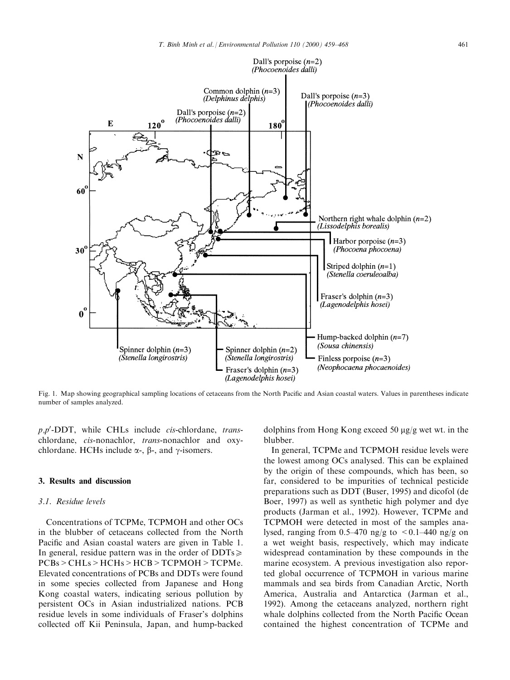

Fig. 1. Map showing geographical sampling locations of cetaceans from the North Pacific and Asian coastal waters. Values in parentheses indicate number of samples analyzed.

 $p, p'$ -DDT, while CHLs include *cis*-chlordane, *trans*chlordane, cis-nonachlor, trans-nonachlor and oxychlordane. HCHs include  $\alpha$ -,  $\beta$ -, and  $\gamma$ -isomers.

# 3. Results and discussion

# 3.1. Residue levels

Concentrations of TCPMe, TCPMOH and other OCs in the blubber of cetaceans collected from the North Pacific and Asian coastal waters are given in Table 1. In general, residue pattern was in the order of  $DDTs \geq 1$ PCBs>CHLs>HCHs>HCB>TCPMOH>TCPMe. Elevated concentrations of PCBs and DDTs were found in some species collected from Japanese and Hong Kong coastal waters, indicating serious pollution by persistent OCs in Asian industrialized nations. PCB residue levels in some individuals of Fraser's dolphins collected off Kii Peninsula, Japan, and hump-backed

dolphins from Hong Kong exceed 50  $\mu$ g/g wet wt. in the blubber.

In general, TCPMe and TCPMOH residue levels were the lowest among OCs analysed. This can be explained by the origin of these compounds, which has been, so far, considered to be impurities of technical pesticide preparations such as DDT (Buser, 1995) and dicofol (de Boer, 1997) as well as synthetic high polymer and dye products (Jarman et al., 1992). However, TCPMe and TCPMOH were detected in most of the samples analysed, ranging from 0.5-470 ng/g to  $\lt 0.1-440$  ng/g on a wet weight basis, respectively, which may indicate widespread contamination by these compounds in the marine ecosystem. A previous investigation also reported global occurrence of TCPMOH in various marine mammals and sea birds from Canadian Arctic, North America, Australia and Antarctica (Jarman et al., 1992). Among the cetaceans analyzed, northern right whale dolphins collected from the North Pacific Ocean contained the highest concentration of TCPMe and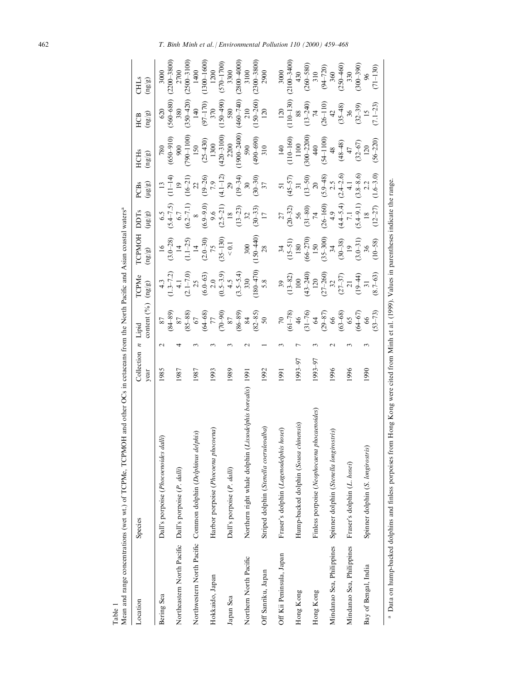| Location                                              | Species                                                                                                                                                      | Collection<br>year | Lipid<br>$\overline{\phantom{a}}$ | content $(^{0\hspace{-0.1mm}\prime\hspace{-0.2mm}(_0)}$                                                                                 | <b>TCPMe</b><br>(ng/gn)                                                         | TCPMOH<br>(ng/gn)                                                          | <b>DDTs</b><br>$(\frac{18}{8})$                                                                    | $\frac{1}{3}$<br>PCBs                                                                           | <b>HCH<sub>s</sub></b><br>$(\mathrm{ng}/\mathrm{g})$                     | $(\mathrm{u}\mathrm{g}/\mathrm{g})$<br>HCB                 | CHLS<br>$(\mathbf{u}\mathbf{g}/\mathbf{g})$        |
|-------------------------------------------------------|--------------------------------------------------------------------------------------------------------------------------------------------------------------|--------------------|-----------------------------------|-----------------------------------------------------------------------------------------------------------------------------------------|---------------------------------------------------------------------------------|----------------------------------------------------------------------------|----------------------------------------------------------------------------------------------------|-------------------------------------------------------------------------------------------------|--------------------------------------------------------------------------|------------------------------------------------------------|----------------------------------------------------|
| Bering Sea                                            | Dall's porpoise (Phocoenoides dalli)                                                                                                                         | 1985               |                                   | 87                                                                                                                                      | 4.3                                                                             | $\frac{1}{6}$                                                              |                                                                                                    | $\overline{13}$                                                                                 | 780                                                                      | 620                                                        | 3000                                               |
|                                                       |                                                                                                                                                              |                    |                                   | $(84 - 89)$                                                                                                                             |                                                                                 |                                                                            | $(5.5$<br>$(5.4-7.5)$<br>$(6.7$<br>$(6.2-7.1)$<br>$(6.9-9.0)$<br>$9.6$<br>$(2.5-21)$<br>$(2.5-21)$ |                                                                                                 |                                                                          | $(560 - 680)$                                              | $(2200 - 3800)$                                    |
| Northeastern North Pacific Dall's porpoise (P. dalli) |                                                                                                                                                              | 1987               |                                   |                                                                                                                                         | $(1.3-7.2)$<br>4.1<br>$(2.1-7.0)$<br>25                                         | (3.0–28)<br>$14$<br>(1.1–25)<br>$14$<br>(3.0–30)<br>(35–130)<br>$(35-130)$ |                                                                                                    | $\frac{11-14}{19}$                                                                              | $(650 - 910)$<br>900                                                     | 380                                                        | 2700                                               |
|                                                       |                                                                                                                                                              |                    |                                   |                                                                                                                                         |                                                                                 |                                                                            |                                                                                                    |                                                                                                 | $(0011 - 067)$                                                           | $(350 - 420)$                                              | $(2500 - 3100)$                                    |
|                                                       | Northwestern North Pacific Common dolphin (Delphinus delphis)                                                                                                | 1987               |                                   | $\begin{array}{l} 87 \\ 85-88) \\ 67 \\ (64-68) \\ (70-90) \\ (86-89) \\ (86-89) \\ (86-89) \\ (82-85) \\ 84 \\ (82-85) \\ \end{array}$ |                                                                                 |                                                                            |                                                                                                    | $(16-21)$<br>$22$<br>$(19-26)$<br>$7,9$<br>$(4.1-12)$<br>$29$<br>$(19-34)$<br>$30$<br>$(30-30)$ | 150                                                                      | 140                                                        | 1400                                               |
|                                                       |                                                                                                                                                              |                    |                                   |                                                                                                                                         |                                                                                 |                                                                            |                                                                                                    |                                                                                                 | $(25 - 430)$                                                             | $(97 - 170)$                                               | $(1300 - 1600)$                                    |
| Hokkaido, Japan                                       | pena<br>Harbor porpoise (Phocoena phoco                                                                                                                      | 1993               |                                   |                                                                                                                                         |                                                                                 |                                                                            |                                                                                                    |                                                                                                 | $\begin{array}{c} 1300 \\ (420-3100) \\ 2200 \\ (1900-2400) \end{array}$ | 370                                                        | 1200                                               |
|                                                       |                                                                                                                                                              |                    |                                   |                                                                                                                                         |                                                                                 |                                                                            |                                                                                                    |                                                                                                 |                                                                          | $(150 - 490)$                                              | $(570 - 1700)$                                     |
| Japan Sea                                             | Dall's porpoise (P. dalli)                                                                                                                                   | 1989               |                                   |                                                                                                                                         |                                                                                 |                                                                            |                                                                                                    |                                                                                                 |                                                                          | 580                                                        | 3300                                               |
|                                                       |                                                                                                                                                              |                    |                                   |                                                                                                                                         |                                                                                 |                                                                            |                                                                                                    |                                                                                                 |                                                                          | $(460 - 740)$                                              | $(2800 - 4000)$                                    |
| Northern North Pacific                                | Northern right whale dolphin (Lissodelphis borealis) 1991                                                                                                    |                    |                                   |                                                                                                                                         |                                                                                 | 300                                                                        |                                                                                                    |                                                                                                 |                                                                          |                                                            | 3100                                               |
|                                                       |                                                                                                                                                              |                    |                                   |                                                                                                                                         | $(6.0-63)$<br>$(0.5-3.9)$<br>$(3.5-5.4)$<br>$(3.5-5.4)$<br>$(180-470)$<br>$5.8$ | $(150 - 440)$                                                              | $\begin{array}{c} (13\text{--}23) \\ 32 \\ (30\text{--}33) \\ 17 \end{array}$                      |                                                                                                 | $(490-690)$                                                              | $210$<br>(150–260)                                         | $(2300 - 3800)$                                    |
| Off Sanriku, Japan                                    | alba)<br>Striped dolphin (Stenella coeruleo                                                                                                                  | 1992               |                                   |                                                                                                                                         |                                                                                 | $\overline{28}$                                                            |                                                                                                    |                                                                                                 | 310                                                                      | 120                                                        | 2900                                               |
| Off Kii Peninsula, Japan                              | Fraser's dolphin (Lagenodelphis hosei)                                                                                                                       | 1991               |                                   |                                                                                                                                         |                                                                                 | 34                                                                         |                                                                                                    |                                                                                                 |                                                                          |                                                            |                                                    |
|                                                       |                                                                                                                                                              |                    |                                   | $(61-78)$                                                                                                                               | $39$<br>(13-82)                                                                 |                                                                            |                                                                                                    |                                                                                                 |                                                                          |                                                            | $3000$<br>(2100–3400)                              |
| Hong Kong                                             | Hump-backed dolphin (Sousa chinensis)                                                                                                                        | 1993-97            |                                   |                                                                                                                                         |                                                                                 | $(15-51)$<br>$180$<br>$(66-270)$<br>$150$                                  | $(20-32)$<br>$56$<br>$(31-80)$<br>$74$                                                             | $(45-57) \n 31 \n (13-50) \n 20$                                                                | $\begin{array}{c}\n 140 \\  (110-160) \\  1100 \\  100\n \end{array}$    | 120<br>(110-130)<br>88<br>(13-240)<br>74<br>(26-110)<br>42 |                                                    |
|                                                       |                                                                                                                                                              |                    |                                   | $\frac{46}{(31-76)}$                                                                                                                    | 100<br>(43–240)<br>120<br>120<br>27–37<br>32<br>(27–37)<br>21                   |                                                                            |                                                                                                    |                                                                                                 |                                                                          |                                                            | 430<br>$(260-580)$<br>$310$<br>$(94-720)$<br>$360$ |
| Hong Kong                                             | Finless porpoise (Neophocaena phocaenoides)                                                                                                                  | 1993–97            |                                   | $\mathcal{Z}$                                                                                                                           |                                                                                 |                                                                            |                                                                                                    |                                                                                                 | 40                                                                       |                                                            |                                                    |
|                                                       |                                                                                                                                                              |                    |                                   | $(29-87)$<br>$66$<br>$(63-68)$                                                                                                          |                                                                                 | $(35 - 300)$                                                               | $(26-160)$<br>$4.9$<br>$(4.4-5.4)$<br>$7.1$<br>$(5.4-9.1)$<br>$18$                                 | $(5.9-48)$<br>2.5<br>$(2.4-2.6)$<br>4.1                                                         | $(54 - 1100)$                                                            |                                                            |                                                    |
| Mindanao Sea, Philippines                             | Spinner dolphin (Stenella longirostris)                                                                                                                      | 1996               |                                   |                                                                                                                                         |                                                                                 | 34                                                                         |                                                                                                    |                                                                                                 | 48                                                                       |                                                            |                                                    |
|                                                       |                                                                                                                                                              |                    |                                   |                                                                                                                                         |                                                                                 | $(30 - 38)$                                                                |                                                                                                    |                                                                                                 | $(48 - 48)$                                                              | $(35 - 48)$                                                | $(250 - 460)$                                      |
| Mindanao Sea, Philippines                             | Fraser's dolphin (L. hosei)                                                                                                                                  | 1996               |                                   |                                                                                                                                         |                                                                                 | $\overline{19}$                                                            |                                                                                                    |                                                                                                 | 47                                                                       |                                                            | 330                                                |
|                                                       |                                                                                                                                                              |                    |                                   | $(64-67)$<br>$66$                                                                                                                       | $(19 - 44)$                                                                     | $(3.0 - 31)$                                                               |                                                                                                    | $(3.8 - 8.6)$<br>2.2                                                                            | $(32 - 67)$                                                              | $36$<br>(32–39)<br>15                                      | $(300-390)$<br>96                                  |
| Bay of Bengal, India                                  | Spinner dolphin (S. longirostris)                                                                                                                            | 1990               |                                   |                                                                                                                                         | $\overline{31}$                                                                 | 36                                                                         |                                                                                                    |                                                                                                 | 120                                                                      |                                                            |                                                    |
|                                                       |                                                                                                                                                              |                    |                                   | $(53 - 73)$                                                                                                                             | $(8.7 - 63)$                                                                    | $(10 - 58)$                                                                | $(12 - 27)$                                                                                        | $(1.6 - 3.0)$                                                                                   | $(56 - 220)$                                                             | $(7.1 - 23)$                                               | $(71 - 130)$                                       |
|                                                       | <sup>a</sup> Data on hump-backed dolphins and finless porpoises from Hong Kong were cited from Minh et al. (1999). Values in parentheses indicate the range. |                    |                                   |                                                                                                                                         |                                                                                 |                                                                            |                                                                                                    |                                                                                                 |                                                                          |                                                            |                                                    |

Mean and range concentrations (wet wt.) of TCPMe, TCPMOH and other OCs in cetaceans from the North Pacific and Asian coastal waters<sup>a</sup> and Asi North Pacific  $\ddot{ }$  $\cdot$ :  $\tilde{C}$  $\tau$ **TOMOT**  $\lambda$ f TCPM<sub>a</sub> Table 1<br>Mean ano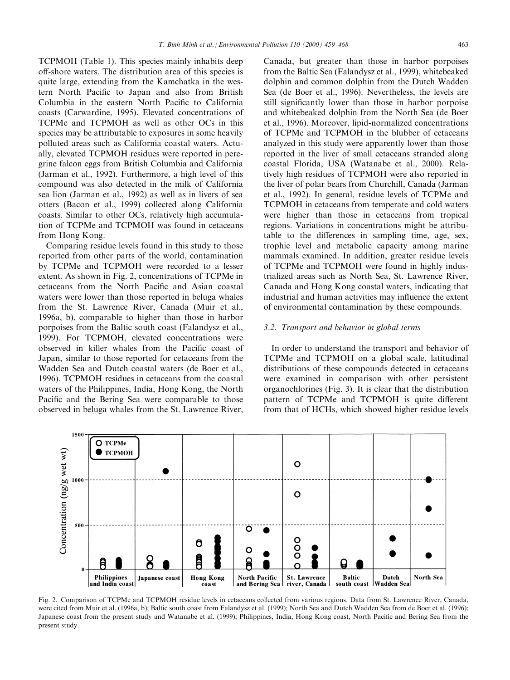TCPMOH (Table 1). This species mainly inhabits deep off-shore waters. The distribution area of this species is quite large, extending from the Kamchatka in the western North Pacific to Japan and also from British Columbia in the eastern North Pacific to California coasts (Carwardine, 1995). Elevated concentrations of TCPMe and TCPMOH as well as other OCs in this species may be attributable to exposures in some heavily polluted areas such as California coastal waters. Actually, elevated TCPMOH residues were reported in peregrine falcon eggs from British Columbia and California (Jarman et al., 1992). Furthermore, a high level of this compound was also detected in the milk of California sea lion (Jarman et al., 1992) as well as in livers of sea otters (Bacon et al., 1999) collected along California coasts. Similar to other OCs, relatively high accumulation of TCPMe and TCPMOH was found in cetaceans from Hong Kong.

Comparing residue levels found in this study to those reported from other parts of the world, contamination by TCPMe and TCPMOH were recorded to a lesser extent. As shown in Fig. 2, concentrations of TCPMe in cetaceans from the North Pacific and Asian coastal waters were lower than those reported in beluga whales from the St. Lawrence River, Canada (Muir et al., 1996a, b), comparable to higher than those in harbor porpoises from the Baltic south coast (Falandysz et al., 1999). For TCPMOH, elevated concentrations were observed in killer whales from the Pacific coast of Japan, similar to those reported for cetaceans from the Wadden Sea and Dutch coastal waters (de Boer et al., 1996). TCPMOH residues in cetaceans from the coastal waters of the Philippines, India, Hong Kong, the North Pacific and the Bering Sea were comparable to those observed in beluga whales from the St. Lawrence River,

Canada, but greater than those in harbor porpoises from the Baltic Sea (Falandysz et al., 1999), whitebeaked dolphin and common dolphin from the Dutch Wadden Sea (de Boer et al., 1996). Nevertheless, the levels are still significantly lower than those in harbor porpoise and whitebeaked dolphin from the North Sea (de Boer et al., 1996). Moreover, lipid-normalized concentrations of TCPMe and TCPMOH in the blubber of cetaceans analyzed in this study were apparently lower than those reported in the liver of small cetaceans stranded along coastal Florida, USA (Watanabe et al., 2000). Relatively high residues of TCPMOH were also reported in the liver of polar bears from Churchill, Canada (Jarman et al., 1992). In general, residue levels of TCPMe and TCPMOH in cetaceans from temperate and cold waters were higher than those in cetaceans from tropical regions. Variations in concentrations might be attributable to the differences in sampling time, age, sex, trophic level and metabolic capacity among marine mammals examined. In addition, greater residue levels of TCPMe and TCPMOH were found in highly industrialized areas such as North Sea, St. Lawrence River, Canada and Hong Kong coastal waters, indicating that industrial and human activities may influence the extent of environmental contamination by these compounds.

#### 3.2. Transport and behavior in global terms

In order to understand the transport and behavior of TCPMe and TCPMOH on a global scale, latitudinal distributions of these compounds detected in cetaceans were examined in comparison with other persistent organochlorines (Fig. 3). It is clear that the distribution pattern of TCPMe and TCPMOH is quite different from that of HCHs, which showed higher residue levels



Fig. 2. Comparison of TCPMe and TCPMOH residue levels in cetaceans collected from various regions. Data from St. Lawrence River, Canada, were cited from Muir et al. (1996a, b); Baltic south coast from Falandysz et al. (1999); North Sea and Dutch Wadden Sea from de Boer et al. (1996); Japanese coast from the present study and Watanabe et al. (1999); Philippines, India, Hong Kong coast, North Pacific and Bering Sea from the present study.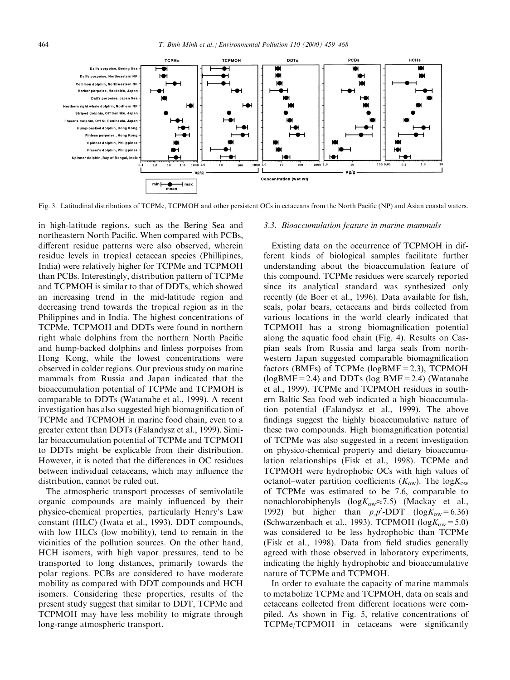

Fig. 3. Latitudinal distributions of TCPMe, TCPMOH and other persistent OCs in cetaceans from the North Pacific (NP) and Asian coastal waters.

in high-latitude regions, such as the Bering Sea and northeastern North Pacific. When compared with PCBs, different residue patterns were also observed, wherein residue levels in tropical cetacean species (Phillipines, India) were relatively higher for TCPMe and TCPMOH than PCBs. Interestingly, distribution pattern of TCPMe and TCPMOH is similar to that of DDTs, which showed an increasing trend in the mid-latitude region and decreasing trend towards the tropical region as in the Philippines and in India. The highest concentrations of TCPMe, TCPMOH and DDTs were found in northern right whale dolphins from the northern North Pacific and hump-backed dolphins and finless porpoises from Hong Kong, while the lowest concentrations were observed in colder regions. Our previous study on marine mammals from Russia and Japan indicated that the bioaccumulation potential of TCPMe and TCPMOH is comparable to DDTs (Watanabe et al., 1999). A recent investigation has also suggested high biomagnification of TCPMe and TCPMOH in marine food chain, even to a greater extent than DDTs (Falandysz et al., 1999). Similar bioaccumulation potential of TCPMe and TCPMOH to DDTs might be explicable from their distribution. However, it is noted that the differences in OC residues between individual cetaceans, which may influence the distribution, cannot be ruled out.

The atmospheric transport processes of semivolatile organic compounds are mainly influenced by their physico-chemical properties, particularly Henry's Law constant (HLC) (Iwata et al., 1993). DDT compounds, with low HLCs (low mobility), tend to remain in the vicinities of the pollution sources. On the other hand, HCH isomers, with high vapor pressures, tend to be transported to long distances, primarily towards the polar regions. PCBs are considered to have moderate mobility as compared with DDT compounds and HCH isomers. Considering these properties, results of the present study suggest that similar to DDT, TCPMe and TCPMOH may have less mobility to migrate through long-range atmospheric transport.

## 3.3. Bioaccumulation feature in marine mammals

Existing data on the occurrence of TCPMOH in different kinds of biological samples facilitate further understanding about the bioaccumulation feature of this compound. TCPMe residues were scarcely reported since its analytical standard was synthesized only recently (de Boer et al., 1996). Data available for fish, seals, polar bears, cetaceans and birds collected from various locations in the world clearly indicated that TCPMOH has a strong biomagnification potential along the aquatic food chain (Fig. 4). Results on Caspian seals from Russia and larga seals from northwestern Japan suggested comparable biomagnification factors (BMFs) of TCPMe ( $log$ BMF = 2.3), TCPMOH  $(logBMF=2.4)$  and DDTs (log BMF = 2.4) (Watanabe et al., 1999). TCPMe and TCPMOH residues in southern Baltic Sea food web indicated a high bioaccumulation potential (Falandysz et al., 1999). The above findings suggest the highly bioaccumulative nature of these two compounds. High biomagnification potential of TCPMe was also suggested in a recent investigation on physico-chemical property and dietary bioaccumulation relationships (Fisk et al., 1998). TCPMe and TCPMOH were hydrophobic OCs with high values of octanol–water partition coefficients  $(K_{\text{ow}})$ . The log $K_{\text{ow}}$ of TCPMe was estimated to be 7.6, comparable to nonachlorobiphenyls ( $log K_{ow} \approx 7.5$ ) (Mackay et al., 1992) but higher than  $p, p'$ -DDT (log $K_{ow} = 6.36$ ) (Schwarzenbach et al., 1993). TCPMOH ( $log K_{ow} = 5.0$ ) was considered to be less hydrophobic than TCPMe (Fisk et al., 1998). Data from field studies generally agreed with those observed in laboratory experiments, indicating the highly hydrophobic and bioaccumulative nature of TCPMe and TCPMOH.

In order to evaluate the capacity of marine mammals to metabolize TCPMe and TCPMOH, data on seals and cetaceans collected from different locations were compiled. As shown in Fig. 5, relative concentrations of TCPMe/TCPMOH in cetaceans were significantly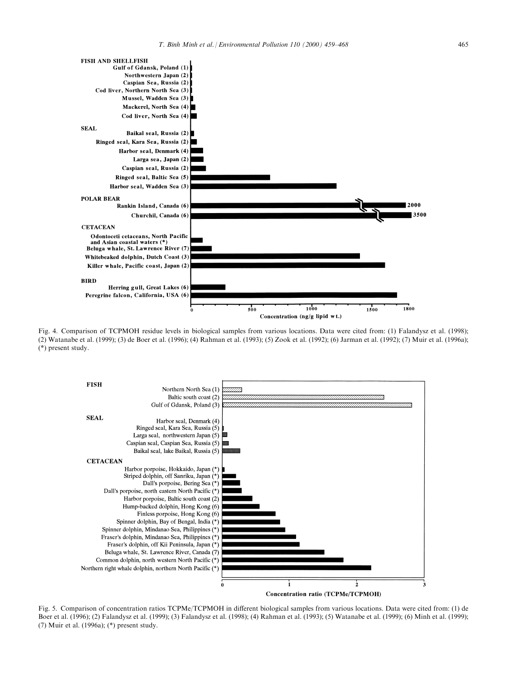

Fig. 4. Comparison of TCPMOH residue levels in biological samples from various locations. Data were cited from: (1) Falandysz et al. (1998); (2) Watanabe et al. (1999); (3) de Boer et al. (1996); (4) Rahman et al. (1993); (5) Zook et al. (1992); (6) Jarman et al. (1992); (7) Muir et al. (1996a); (\*) present study.



Fig. 5. Comparison of concentration ratios TCPMe/TCPMOH in different biological samples from various locations. Data were cited from: (1) de Boer et al. (1996); (2) Falandysz et al. (1999); (3) Falandysz et al. (1998); (4) Rahman et al. (1993); (5) Watanabe et al. (1999); (6) Minh et al. (1999); (7) Muir et al. (1996a); (\*) present study.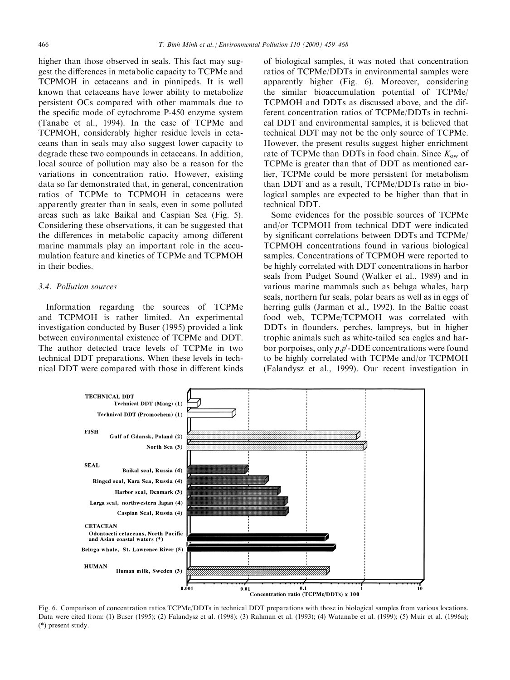higher than those observed in seals. This fact may suggest the differences in metabolic capacity to TCPMe and TCPMOH in cetaceans and in pinnipeds. It is well known that cetaceans have lower ability to metabolize persistent OCs compared with other mammals due to the specific mode of cytochrome P-450 enzyme system (Tanabe et al., 1994). In the case of TCPMe and TCPMOH, considerably higher residue levels in cetaceans than in seals may also suggest lower capacity to degrade these two compounds in cetaceans. In addition, local source of pollution may also be a reason for the variations in concentration ratio. However, existing data so far demonstrated that, in general, concentration ratios of TCPMe to TCPMOH in cetaceans were apparently greater than in seals, even in some polluted areas such as lake Baikal and Caspian Sea (Fig. 5). Considering these observations, it can be suggested that the differences in metabolic capacity among different marine mammals play an important role in the accumulation feature and kinetics of TCPMe and TCPMOH in their bodies.

#### 3.4. Pollution sources

Information regarding the sources of TCPMe and TCPMOH is rather limited. An experimental investigation conducted by Buser (1995) provided a link between environmental existence of TCPMe and DDT. The author detected trace levels of TCPMe in two technical DDT preparations. When these levels in technical DDT were compared with those in different kinds

of biological samples, it was noted that concentration ratios of TCPMe/DDTs in environmental samples were apparently higher (Fig. 6). Moreover, considering the similar bioaccumulation potential of TCPMe/ TCPMOH and DDTs as discussed above, and the different concentration ratios of TCPMe/DDTs in technical DDT and environmental samples, it is believed that technical DDT may not be the only source of TCPMe. However, the present results suggest higher enrichment rate of TCPMe than DDTs in food chain. Since  $K_{ow}$  of TCPMe is greater than that of DDT as mentioned earlier, TCPMe could be more persistent for metabolism than DDT and as a result, TCPMe/DDTs ratio in biological samples are expected to be higher than that in technical DDT.

Some evidences for the possible sources of TCPMe and/or TCPMOH from technical DDT were indicated by significant correlations between DDTs and TCPMe/ TCPMOH concentrations found in various biological samples. Concentrations of TCPMOH were reported to be highly correlated with DDT concentrations in harbor seals from Pudget Sound (Walker et al., 1989) and in various marine mammals such as beluga whales, harp seals, northern fur seals, polar bears as well as in eggs of herring gulls (Jarman et al., 1992). In the Baltic coast food web, TCPMe/TCPMOH was correlated with DDTs in flounders, perches, lampreys, but in higher trophic animals such as white-tailed sea eagles and harbor porpoises, only  $p, p'$ -DDE concentrations were found to be highly correlated with TCPMe and/or TCPMOH (Falandysz et al., 1999). Our recent investigation in



Fig. 6. Comparison of concentration ratios TCPMe/DDTs in technical DDT preparations with those in biological samples from various locations. Data were cited from: (1) Buser (1995); (2) Falandysz et al. (1998); (3) Rahman et al. (1993); (4) Watanabe et al. (1999); (5) Muir et al. (1996a); (\*) present study.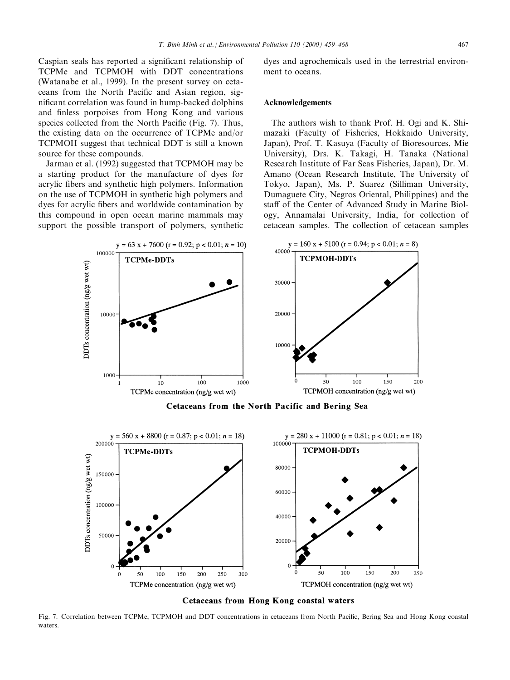Caspian seals has reported a significant relationship of TCPMe and TCPMOH with DDT concentrations (Watanabe et al., 1999). In the present survey on cetaceans from the North Pacific and Asian region, significant correlation was found in hump-backed dolphins and finless porpoises from Hong Kong and various species collected from the North Pacific (Fig. 7). Thus, the existing data on the occurrence of TCPMe and/or TCPMOH suggest that technical DDT is still a known

source for these compounds. Jarman et al. (1992) suggested that TCPMOH may be a starting product for the manufacture of dyes for acrylic fibers and synthetic high polymers. Information on the use of TCPMOH in synthetic high polymers and dyes for acrylic fibers and worldwide contamination by this compound in open ocean marine mammals may support the possible transport of polymers, synthetic dyes and agrochemicals used in the terrestrial environment to oceans.

# Acknowledgements

The authors wish to thank Prof. H. Ogi and K. Shimazaki (Faculty of Fisheries, Hokkaido University, Japan), Prof. T. Kasuya (Faculty of Bioresources, Mie University), Drs. K. Takagi, H. Tanaka (National Research Institute of Far Seas Fisheries, Japan), Dr. M. Amano (Ocean Research Institute, The University of Tokyo, Japan), Ms. P. Suarez (Silliman University, Dumaguete City, Negros Oriental, Philippines) and the staff of the Center of Advanced Study in Marine Biology, Annamalai University, India, for collection of cetacean samples. The collection of cetacean samples



Cetaceans from the North Pacific and Bering Sea



**Cetaceans from Hong Kong coastal waters** 

Fig. 7. Correlation between TCPMe, TCPMOH and DDT concentrations in cetaceans from North Pacific. Bering Sea and Hong Kong coastal waters.